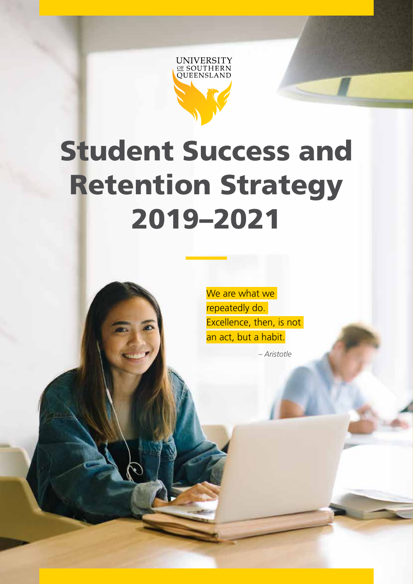

# Student Success and Retention Strategy 2019–2021

We are what we repeatedly do. Excellence, then, is not an act, but a habit.

 *– Aristotle*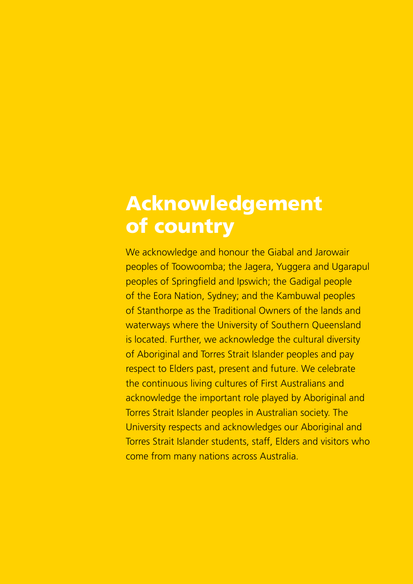## Acknowledgement of country

We acknowledge and honour the Giabal and Jarowair peoples of Toowoomba; the Jagera, Yuggera and Ugarapul peoples of Springfield and Ipswich; the Gadigal people of the Eora Nation, Sydney; and the Kambuwal peoples of Stanthorpe as the Traditional Owners of the lands and waterways where the University of Southern Queensland is located. Further, we acknowledge the cultural diversity of Aboriginal and Torres Strait Islander peoples and pay respect to Elders past, present and future. We celebrate the continuous living cultures of First Australians and acknowledge the important role played by Aboriginal and Torres Strait Islander peoples in Australian society. The University respects and acknowledges our Aboriginal and Torres Strait Islander students, staff, Elders and visitors who come from many nations across Australia.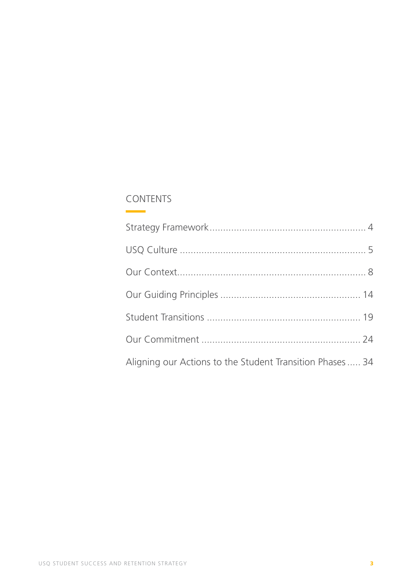#### CONTENTS

÷

| Aligning our Actions to the Student Transition Phases  34 |  |
|-----------------------------------------------------------|--|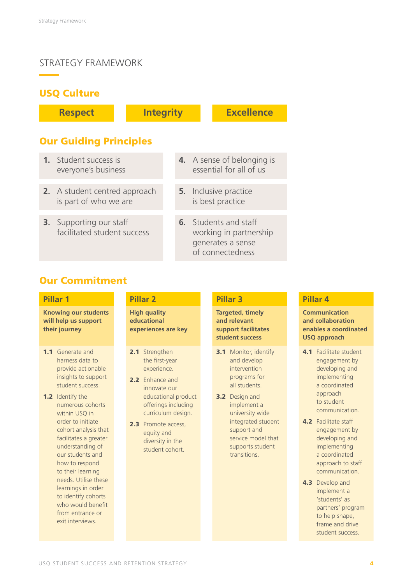#### STRATEGY FRAMEWORK



#### Our Commitment

#### **Pillar 1 Pillar 2 Pillar 3 Pillar 4 Knowing our students will help us support their journey** 1.1 Generate and harness data to provide actionable insights to support student success. 1.2 Identify the numerous cohorts within USQ in order to initiate cohort analysis that facilitates a greater understanding of our students and how to respond to their learning needs. Utilise these learnings in order to identify cohorts who would benefit from entrance or exit interviews.

**High quality educational experiences are key**

- 2.1 Strengthen the first-year experience.
- 2.2 Enhance and innovate our educational product offerings including curriculum design.
- 2.3 Promote access. equity and diversity in the student cohort.

of connectedness

**Targeted, timely and relevant support facilitates student success**

- **3.1** Monitor, identify and develop intervention programs for all students.
- **3.2** Design and implement a university wide integrated student support and service model that supports student transitions.

**Communication and collaboration enables a coordinated USQ approach**

- 4.1 Facilitate student engagement by developing and implementing a coordinated approach to student communication.
- 4.2 Facilitate staff engagement by developing and implementing a coordinated approach to staff communication.
- 4.3 Develop and implement a 'students' as partners' program to help shape, frame and drive student success.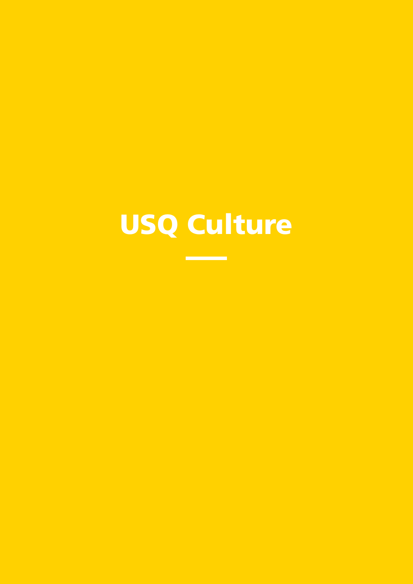# USQ Culture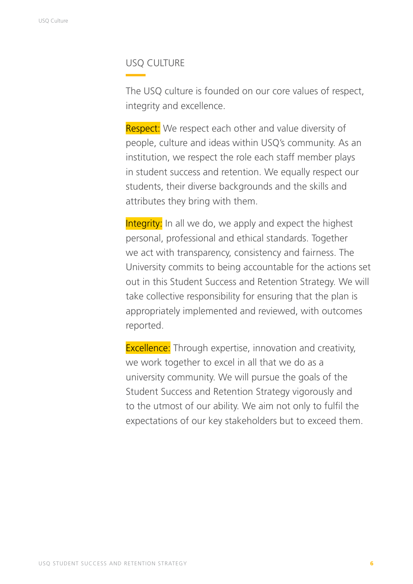#### USQ CULTURE

The USQ culture is founded on our core values of respect, integrity and excellence.

**Respect:** We respect each other and value diversity of people, culture and ideas within USQ's community. As an institution, we respect the role each staff member plays in student success and retention. We equally respect our students, their diverse backgrounds and the skills and attributes they bring with them.

Integrity: In all we do, we apply and expect the highest personal, professional and ethical standards. Together we act with transparency, consistency and fairness. The University commits to being accountable for the actions set out in this Student Success and Retention Strategy. We will take collective responsibility for ensuring that the plan is appropriately implemented and reviewed, with outcomes reported.

**Excellence:** Through expertise, innovation and creativity, we work together to excel in all that we do as a university community. We will pursue the goals of the Student Success and Retention Strategy vigorously and to the utmost of our ability. We aim not only to fulfil the expectations of our key stakeholders but to exceed them.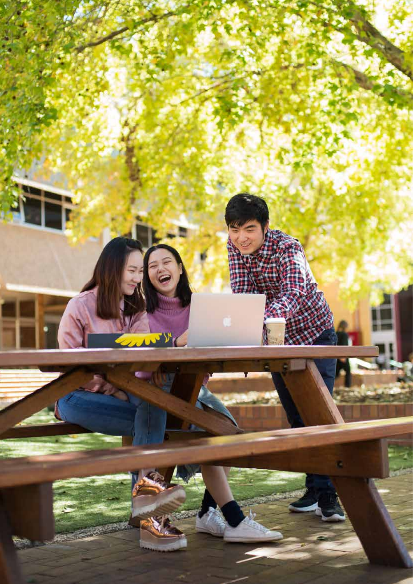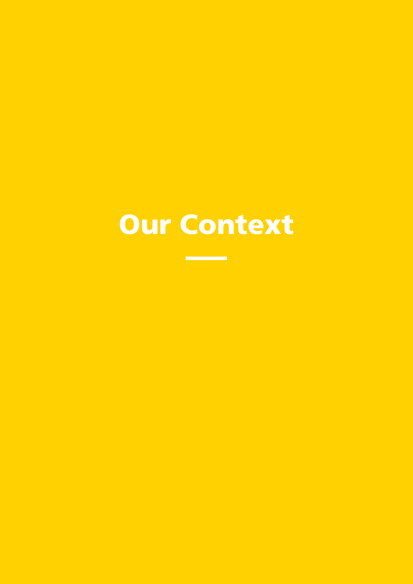## Our Context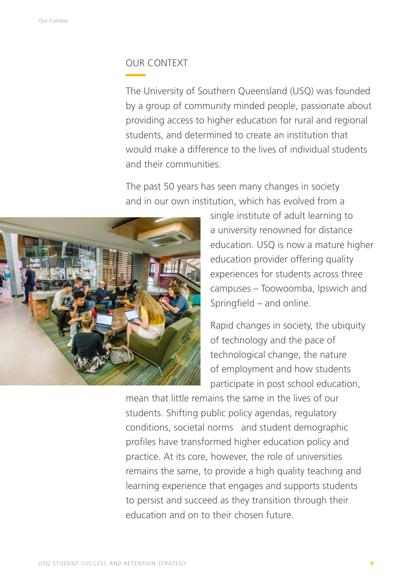The University of Southern Queensland (USQ) was founded by a group of community minded people, passionate about providing access to higher education for rural and regional students, and determined to create an institution that would make a difference to the lives of individual students and their communities.

The past 50 years has seen many changes in society and in our own institution, which has evolved from a



single institute of adult learning to a university renowned for distance education. USQ is now a mature higher education provider offering quality experiences for students across three campuses – Toowoomba, Ipswich and Springfield – and online.

Rapid changes in society, the ubiquity of technology and the pace of technological change, the nature of employment and how students participate in post school education,

mean that little remains the same in the lives of our students. Shifting public policy agendas, regulatory conditions, societal norms and student demographic profiles have transformed higher education policy and practice. At its core, however, the role of universities remains the same, to provide a high quality teaching and learning experience that engages and supports students to persist and succeed as they transition through their education and on to their chosen future.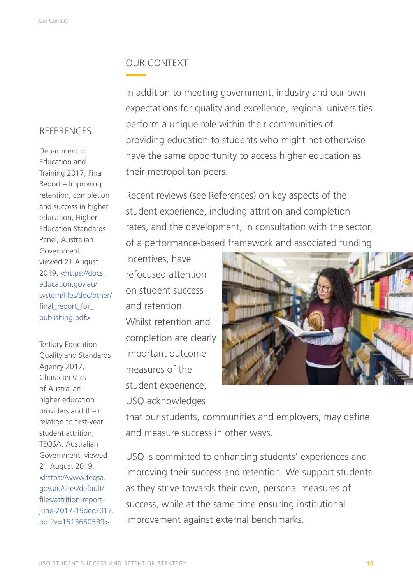#### **REFERENCES**

Department of Education and Training 2017, Final Report – Improving retention, completion and success in higher education, Higher Education Standards Panel, Australian Government, viewed 21 August 2019, <https://docs. education.gov.au/ system/files/doc/other/ final\_report\_for\_ publishing.pdf>

Tertiary Education Quality and Standards Agency 2017, Characteristics of Australian higher education providers and their relation to first-year student attrition, TEQSA, Australian Government, viewed 21 August 2019, <https://www.teqsa. gov.au/sites/default/ files/attrition-reportjune-2017-19dec2017. pdf?v=1513650539>

#### OUR CONTEXT

In addition to meeting government, industry and our own expectations for quality and excellence, regional universities perform a unique role within their communities of providing education to students who might not otherwise have the same opportunity to access higher education as their metropolitan peers.

Recent reviews (see References) on key aspects of the student experience, including attrition and completion rates, and the development, in consultation with the sector, of a performance-based framework and associated funding

incentives, have refocused attention on student success and retention. Whilst retention and completion are clearly important outcome measures of the student experience, USQ acknowledges



that our students, communities and employers, may define and measure success in other ways.

USQ is committed to enhancing students' experiences and improving their success and retention. We support students as they strive towards their own, personal measures of success, while at the same time ensuring institutional improvement against external benchmarks.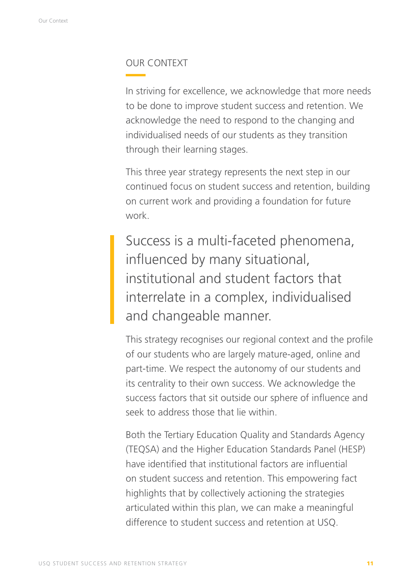In striving for excellence, we acknowledge that more needs to be done to improve student success and retention. We acknowledge the need to respond to the changing and individualised needs of our students as they transition through their learning stages.

This three year strategy represents the next step in our continued focus on student success and retention, building on current work and providing a foundation for future work.

Success is a multi-faceted phenomena, influenced by many situational, institutional and student factors that interrelate in a complex, individualised and changeable manner.

This strategy recognises our regional context and the profile of our students who are largely mature-aged, online and part-time. We respect the autonomy of our students and its centrality to their own success. We acknowledge the success factors that sit outside our sphere of influence and seek to address those that lie within.

Both the Tertiary Education Quality and Standards Agency (TEQSA) and the Higher Education Standards Panel (HESP) have identified that institutional factors are influential on student success and retention. This empowering fact highlights that by collectively actioning the strategies articulated within this plan, we can make a meaningful difference to student success and retention at USQ.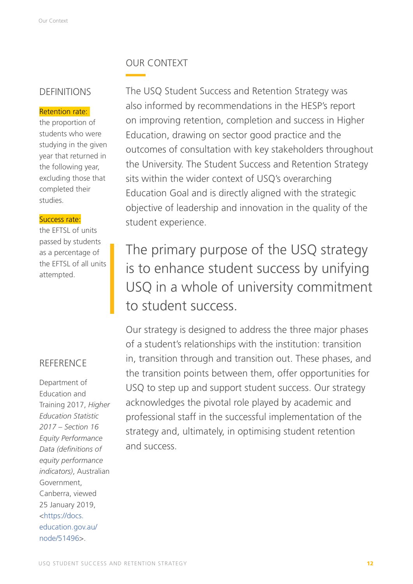#### **DEFINITIONS**

#### Retention rate:

the proportion of students who were studying in the given year that returned in the following year, excluding those that completed their studies.

#### Success rate:

the EFTSL of units passed by students as a percentage of the EFTSL of all units attempted.

#### **REFERENCE**

Department of Education and Training 2017, *Higher Education Statistic 2017 – Section 16 Equity Performance Data (definitions of equity performance indicators)*, Australian Government, Canberra, viewed 25 January 2019, <https://docs. education.gov.au/ node/51496>.

The USQ Student Success and Retention Strategy was also informed by recommendations in the HESP's report on improving retention, completion and success in Higher Education, drawing on sector good practice and the outcomes of consultation with key stakeholders throughout the University. The Student Success and Retention Strategy sits within the wider context of USQ's overarching Education Goal and is directly aligned with the strategic objective of leadership and innovation in the quality of the student experience.

## The primary purpose of the USQ strategy is to enhance student success by unifying USQ in a whole of university commitment to student success.

Our strategy is designed to address the three major phases of a student's relationships with the institution: transition in, transition through and transition out. These phases, and the transition points between them, offer opportunities for USQ to step up and support student success. Our strategy acknowledges the pivotal role played by academic and professional staff in the successful implementation of the strategy and, ultimately, in optimising student retention and success.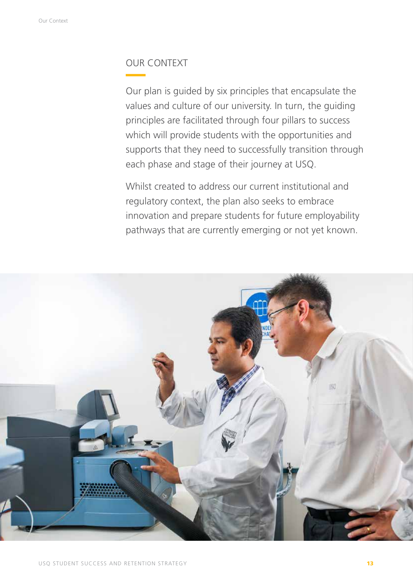Our plan is guided by six principles that encapsulate the values and culture of our university. In turn, the guiding principles are facilitated through four pillars to success which will provide students with the opportunities and supports that they need to successfully transition through each phase and stage of their journey at USQ.

Whilst created to address our current institutional and regulatory context, the plan also seeks to embrace innovation and prepare students for future employability pathways that are currently emerging or not yet known.

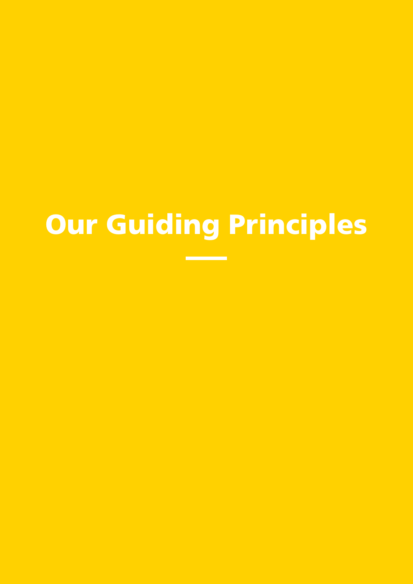# Our Guiding Principles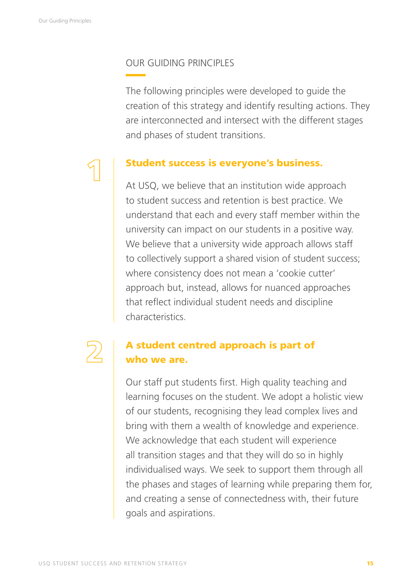#### OUR GUIDING PRINCIPLES

The following principles were developed to guide the creation of this strategy and identify resulting actions. They are interconnected and intersect with the different stages and phases of student transitions.

#### Student success is everyone's business.

At USQ, we believe that an institution wide approach to student success and retention is best practice. We understand that each and every staff member within the university can impact on our students in a positive way. We believe that a university wide approach allows staff to collectively support a shared vision of student success; where consistency does not mean a 'cookie cutter' approach but, instead, allows for nuanced approaches that reflect individual student needs and discipline characteristics.

#### A student centred approach is part of who we are.

Our staff put students first. High quality teaching and learning focuses on the student. We adopt a holistic view of our students, recognising they lead complex lives and bring with them a wealth of knowledge and experience. We acknowledge that each student will experience all transition stages and that they will do so in highly individualised ways. We seek to support them through all the phases and stages of learning while preparing them for, and creating a sense of connectedness with, their future goals and aspirations.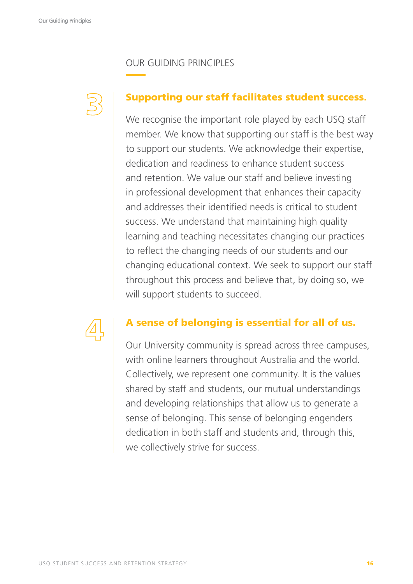#### OUR GUIDING PRINCIPLES

| ٠ |  |
|---|--|
|   |  |
|   |  |
|   |  |

#### Supporting our staff facilitates student success.

We recognise the important role played by each USQ staff member. We know that supporting our staff is the best way to support our students. We acknowledge their expertise, dedication and readiness to enhance student success and retention. We value our staff and believe investing in professional development that enhances their capacity and addresses their identified needs is critical to student success. We understand that maintaining high quality learning and teaching necessitates changing our practices to reflect the changing needs of our students and our changing educational context. We seek to support our staff throughout this process and believe that, by doing so, we will support students to succeed.



#### A sense of belonging is essential for all of us.

Our University community is spread across three campuses, with online learners throughout Australia and the world. Collectively, we represent one community. It is the values shared by staff and students, our mutual understandings and developing relationships that allow us to generate a sense of belonging. This sense of belonging engenders dedication in both staff and students and, through this, we collectively strive for success.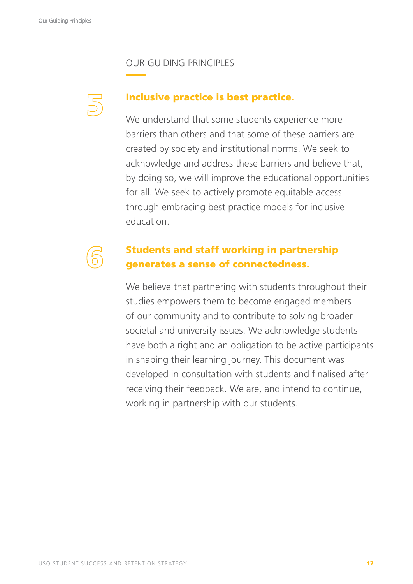#### OUR GUIDING PRINCIPLES

#### Inclusive practice is best practice.

We understand that some students experience more barriers than others and that some of these barriers are created by society and institutional norms. We seek to acknowledge and address these barriers and believe that, by doing so, we will improve the educational opportunities for all. We seek to actively promote equitable access through embracing best practice models for inclusive education.

### Students and staff working in partnership generates a sense of connectedness.

We believe that partnering with students throughout their studies empowers them to become engaged members of our community and to contribute to solving broader societal and university issues. We acknowledge students have both a right and an obligation to be active participants in shaping their learning journey. This document was developed in consultation with students and finalised after receiving their feedback. We are, and intend to continue, working in partnership with our students.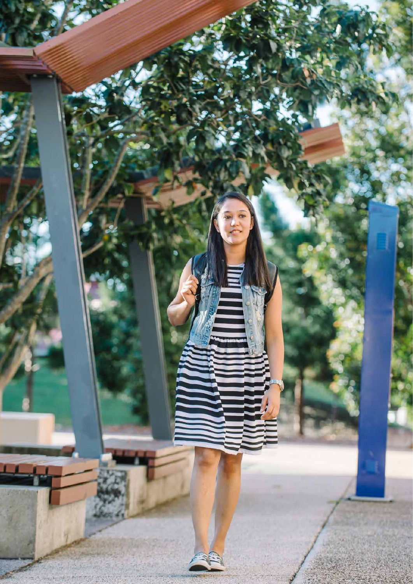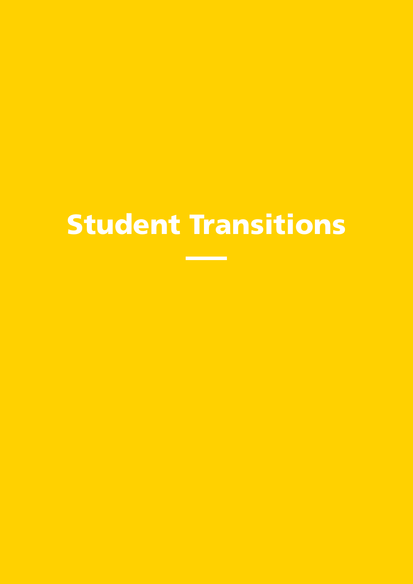## Student Transitions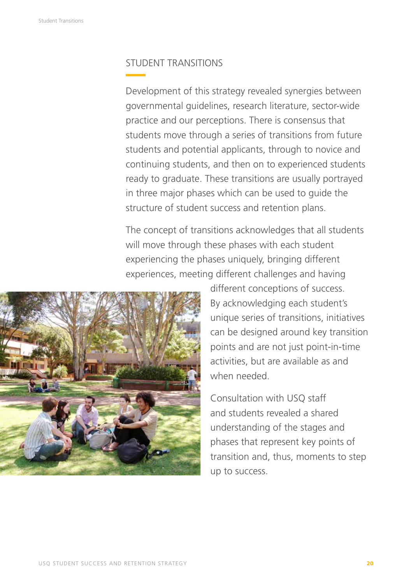#### STUDENT TRANSITIONS

Development of this strategy revealed synergies between governmental guidelines, research literature, sector-wide practice and our perceptions. There is consensus that students move through a series of transitions from future students and potential applicants, through to novice and continuing students, and then on to experienced students ready to graduate. These transitions are usually portrayed in three major phases which can be used to guide the structure of student success and retention plans.

The concept of transitions acknowledges that all students will move through these phases with each student experiencing the phases uniquely, bringing different experiences, meeting different challenges and having



different conceptions of success. By acknowledging each student's unique series of transitions, initiatives can be designed around key transition points and are not just point-in-time activities, but are available as and when needed.

Consultation with USQ staff and students revealed a shared understanding of the stages and phases that represent key points of transition and, thus, moments to step up to success.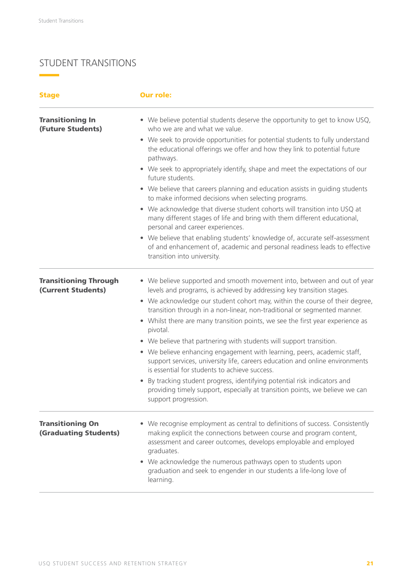#### STUDENT TRANSITIONS

| <b>Stage</b>                                            | <b>Our role:</b>                                                                                                                                                                                                                      |  |  |
|---------------------------------------------------------|---------------------------------------------------------------------------------------------------------------------------------------------------------------------------------------------------------------------------------------|--|--|
| <b>Transitioning In</b><br>(Future Students)            | • We believe potential students deserve the opportunity to get to know USQ,<br>who we are and what we value.                                                                                                                          |  |  |
|                                                         | • We seek to provide opportunities for potential students to fully understand<br>the educational offerings we offer and how they link to potential future<br>pathways.                                                                |  |  |
|                                                         | • We seek to appropriately identify, shape and meet the expectations of our<br>future students.                                                                                                                                       |  |  |
|                                                         | • We believe that careers planning and education assists in quiding students<br>to make informed decisions when selecting programs.                                                                                                   |  |  |
|                                                         | • We acknowledge that diverse student cohorts will transition into USQ at<br>many different stages of life and bring with them different educational,<br>personal and career experiences.                                             |  |  |
|                                                         | • We believe that enabling students' knowledge of, accurate self-assessment<br>of and enhancement of, academic and personal readiness leads to effective<br>transition into university.                                               |  |  |
| <b>Transitioning Through</b><br>(Current Students)      | • We believe supported and smooth movement into, between and out of year<br>levels and programs, is achieved by addressing key transition stages.                                                                                     |  |  |
|                                                         | • We acknowledge our student cohort may, within the course of their degree,<br>transition through in a non-linear, non-traditional or segmented manner.                                                                               |  |  |
|                                                         | • Whilst there are many transition points, we see the first year experience as<br>pivotal.                                                                                                                                            |  |  |
|                                                         | • We believe that partnering with students will support transition.                                                                                                                                                                   |  |  |
|                                                         | • We believe enhancing engagement with learning, peers, academic staff,<br>support services, university life, careers education and online environments<br>is essential for students to achieve success.                              |  |  |
|                                                         | • By tracking student progress, identifying potential risk indicators and<br>providing timely support, especially at transition points, we believe we can<br>support progression.                                                     |  |  |
| <b>Transitioning On</b><br><b>(Graduating Students)</b> | • We recognise employment as central to definitions of success. Consistently<br>making explicit the connections between course and program content,<br>assessment and career outcomes, develops employable and employed<br>graduates. |  |  |
|                                                         | • We acknowledge the numerous pathways open to students upon<br>graduation and seek to engender in our students a life-long love of<br>learning.                                                                                      |  |  |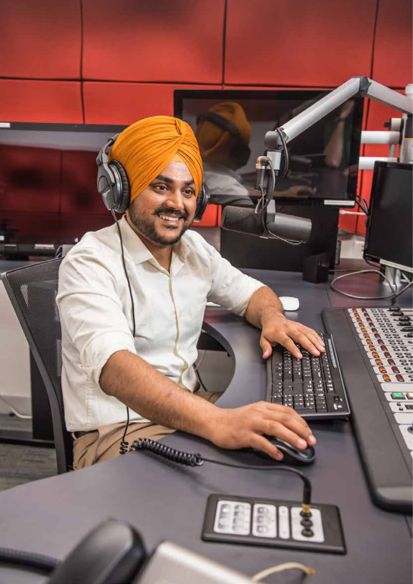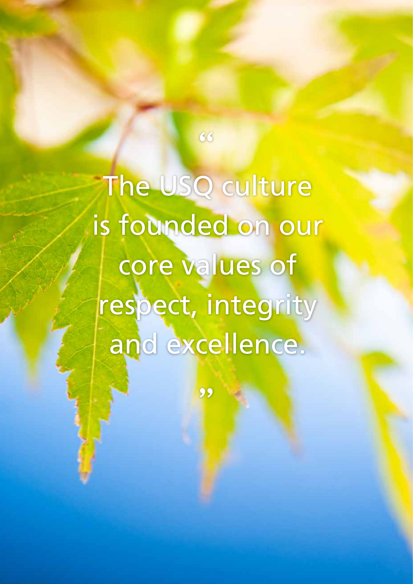The USQ culture is founded on our core values of respect, integrity and excellence.

"

**99**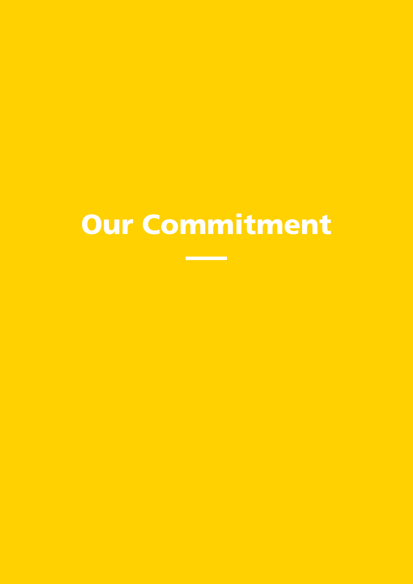## Our Commitment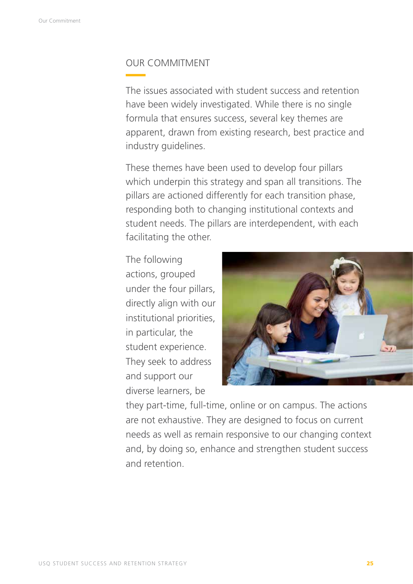#### OUR COMMITMENT

The issues associated with student success and retention have been widely investigated. While there is no single formula that ensures success, several key themes are apparent, drawn from existing research, best practice and industry guidelines.

These themes have been used to develop four pillars which underpin this strategy and span all transitions. The pillars are actioned differently for each transition phase, responding both to changing institutional contexts and student needs. The pillars are interdependent, with each facilitating the other.

The following actions, grouped under the four pillars, directly align with our institutional priorities, in particular, the student experience. They seek to address and support our diverse learners, be



they part-time, full-time, online or on campus. The actions are not exhaustive. They are designed to focus on current needs as well as remain responsive to our changing context and, by doing so, enhance and strengthen student success and retention.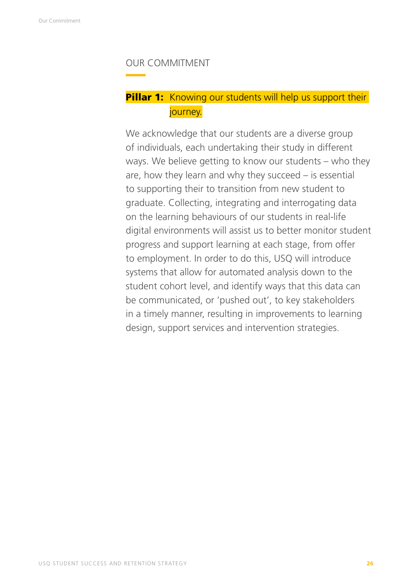#### OUR COMMITMENT

### **Pillar 1:** Knowing our students will help us support their journey.

We acknowledge that our students are a diverse group of individuals, each undertaking their study in different ways. We believe getting to know our students – who they are, how they learn and why they succeed – is essential to supporting their to transition from new student to graduate. Collecting, integrating and interrogating data on the learning behaviours of our students in real-life digital environments will assist us to better monitor student progress and support learning at each stage, from offer to employment. In order to do this, USQ will introduce systems that allow for automated analysis down to the student cohort level, and identify ways that this data can be communicated, or 'pushed out', to key stakeholders in a timely manner, resulting in improvements to learning design, support services and intervention strategies.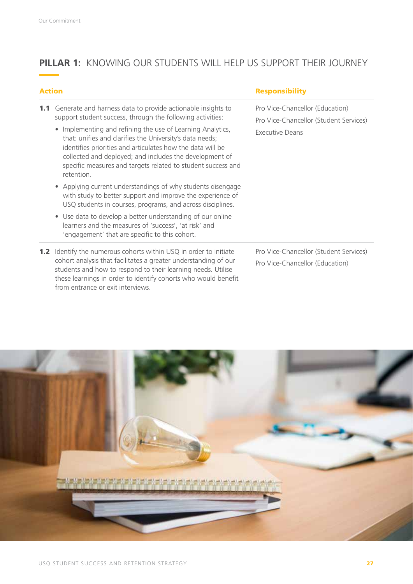### **PILLAR 1:** KNOWING OUR STUDENTS WILL HELP US SUPPORT THEIR JOURNEY

| <b>Action</b> |                                                                                                                                                                                                                                                                                                                                                                                                                                                                                                                                                                                                                                                                                                                                                                                                                                         | <b>Responsibility</b>                                                                               |
|---------------|-----------------------------------------------------------------------------------------------------------------------------------------------------------------------------------------------------------------------------------------------------------------------------------------------------------------------------------------------------------------------------------------------------------------------------------------------------------------------------------------------------------------------------------------------------------------------------------------------------------------------------------------------------------------------------------------------------------------------------------------------------------------------------------------------------------------------------------------|-----------------------------------------------------------------------------------------------------|
| 1.1           | Generate and harness data to provide actionable insights to<br>support student success, through the following activities:<br>Implementing and refining the use of Learning Analytics,<br>$\bullet$<br>that: unifies and clarifies the University's data needs;<br>identifies priorities and articulates how the data will be<br>collected and deployed; and includes the development of<br>specific measures and targets related to student success and<br>retention.<br>Applying current understandings of why students disengage<br>with study to better support and improve the experience of<br>USQ students in courses, programs, and across disciplines.<br>• Use data to develop a better understanding of our online<br>learners and the measures of 'success', 'at risk' and<br>'engagement' that are specific to this cohort. | Pro Vice-Chancellor (Education)<br>Pro Vice-Chancellor (Student Services)<br><b>Executive Deans</b> |
|               | <b>1.2</b> Identify the numerous cohorts within USQ in order to initiate<br>cohort analysis that facilitates a greater understanding of our<br>students and how to respond to their learning needs. Utilise<br>these learnings in order to identify cohorts who would benefit<br>from entrance or exit interviews.                                                                                                                                                                                                                                                                                                                                                                                                                                                                                                                      | Pro Vice-Chancellor (Student Services)<br>Pro Vice-Chancellor (Education)                           |

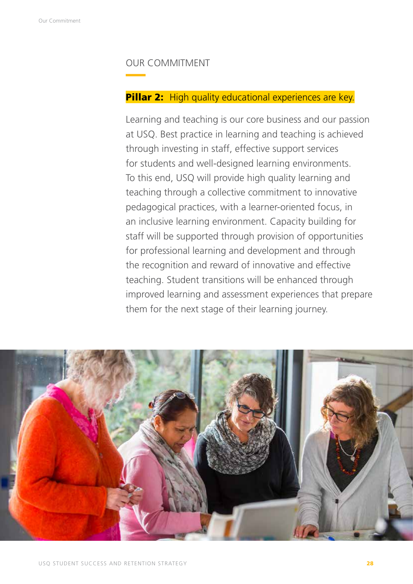#### OUR COMMITMENT

#### **Pillar 2:** High quality educational experiences are key.

Learning and teaching is our core business and our passion at USQ. Best practice in learning and teaching is achieved through investing in staff, effective support services for students and well-designed learning environments. To this end, USQ will provide high quality learning and teaching through a collective commitment to innovative pedagogical practices, with a learner-oriented focus, in an inclusive learning environment. Capacity building for staff will be supported through provision of opportunities for professional learning and development and through the recognition and reward of innovative and effective teaching. Student transitions will be enhanced through improved learning and assessment experiences that prepare them for the next stage of their learning journey.

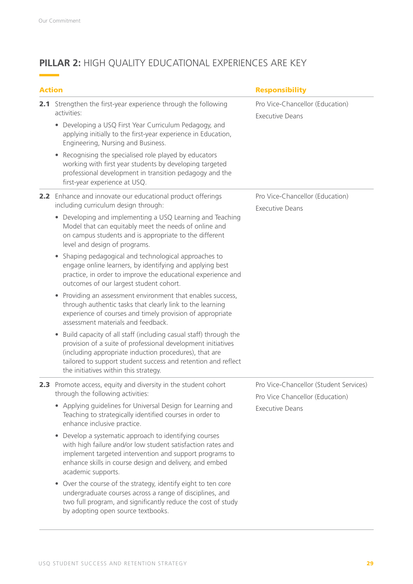### **PILLAR 2:** HIGH QUALITY EDUCATIONAL EXPERIENCES ARE KEY

| <b>Action</b> |                                                                                                                                                                                                                                                                                                                                                                                                                                                                                                                                                                                                                                                                                                                                                                                                                                                                                                                                                                                                                                                                                                                | <b>Responsibility</b>                                                                               |  |
|---------------|----------------------------------------------------------------------------------------------------------------------------------------------------------------------------------------------------------------------------------------------------------------------------------------------------------------------------------------------------------------------------------------------------------------------------------------------------------------------------------------------------------------------------------------------------------------------------------------------------------------------------------------------------------------------------------------------------------------------------------------------------------------------------------------------------------------------------------------------------------------------------------------------------------------------------------------------------------------------------------------------------------------------------------------------------------------------------------------------------------------|-----------------------------------------------------------------------------------------------------|--|
|               | 2.1 Strengthen the first-year experience through the following<br>activities:<br>Developing a USQ First Year Curriculum Pedagogy, and<br>applying initially to the first-year experience in Education,<br>Engineering, Nursing and Business.<br>Recognising the specialised role played by educators<br>$\bullet$<br>working with first year students by developing targeted<br>professional development in transition pedagogy and the<br>first-year experience at USQ.                                                                                                                                                                                                                                                                                                                                                                                                                                                                                                                                                                                                                                       | Pro Vice-Chancellor (Education)<br><b>Executive Deans</b>                                           |  |
|               | 2.2 Enhance and innovate our educational product offerings<br>including curriculum design through:<br>Developing and implementing a USQ Learning and Teaching<br>$\bullet$<br>Model that can equitably meet the needs of online and<br>on campus students and is appropriate to the different<br>level and design of programs.<br>Shaping pedagogical and technological approaches to<br>engage online learners, by identifying and applying best<br>practice, in order to improve the educational experience and<br>outcomes of our largest student cohort.<br>Providing an assessment environment that enables success,<br>through authentic tasks that clearly link to the learning<br>experience of courses and timely provision of appropriate<br>assessment materials and feedback.<br>Build capacity of all staff (including casual staff) through the<br>$\bullet$<br>provision of a suite of professional development initiatives<br>(including appropriate induction procedures), that are<br>tailored to support student success and retention and reflect<br>the initiatives within this strategy. | Pro Vice-Chancellor (Education)<br><b>Executive Deans</b>                                           |  |
|               | 2.3 Promote access, equity and diversity in the student cohort<br>through the following activities:<br>• Applying guidelines for Universal Design for Learning and<br>Teaching to strategically identified courses in order to<br>enhance inclusive practice.<br>Develop a systematic approach to identifying courses<br>with high failure and/or low student satisfaction rates and<br>implement targeted intervention and support programs to<br>enhance skills in course design and delivery, and embed<br>academic supports.<br>Over the course of the strategy, identify eight to ten core<br>$\bullet$<br>undergraduate courses across a range of disciplines, and<br>two full program, and significantly reduce the cost of study<br>by adopting open source textbooks.                                                                                                                                                                                                                                                                                                                                 | Pro Vice-Chancellor (Student Services)<br>Pro Vice Chancellor (Education)<br><b>Executive Deans</b> |  |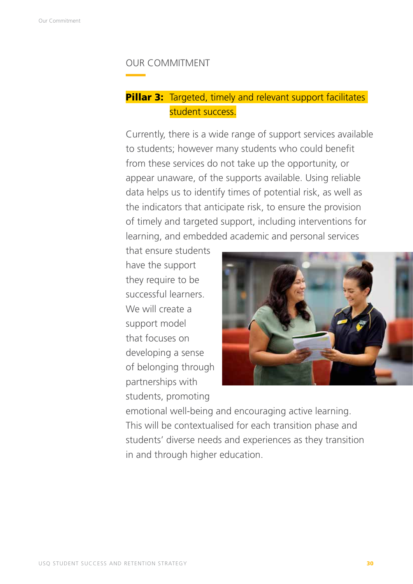#### OUR COMMITMENT

### Pillar 3: Targeted, timely and relevant support facilitates student success.

Currently, there is a wide range of support services available to students; however many students who could benefit from these services do not take up the opportunity, or appear unaware, of the supports available. Using reliable data helps us to identify times of potential risk, as well as the indicators that anticipate risk, to ensure the provision of timely and targeted support, including interventions for learning, and embedded academic and personal services

that ensure students have the support they require to be successful learners. We will create a support model that focuses on developing a sense of belonging through partnerships with students, promoting



emotional well-being and encouraging active learning. This will be contextualised for each transition phase and students' diverse needs and experiences as they transition in and through higher education.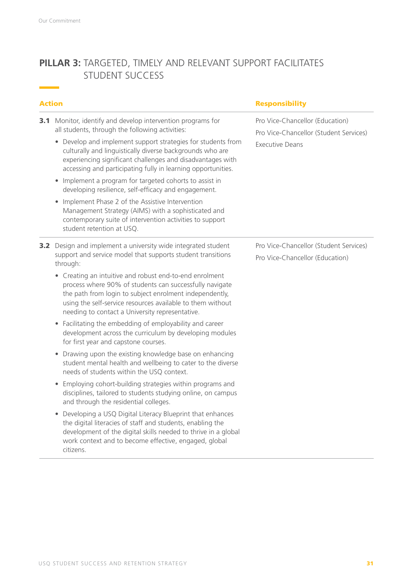### **PILLAR 3:** TARGETED, TIMELY AND RELEVANT SUPPORT FACILITATES STUDENT SUCCESS

| <b>Action</b> |                                                                                                                                                                                                                                                                                                | <b>Responsibility</b>                                                                               |  |
|---------------|------------------------------------------------------------------------------------------------------------------------------------------------------------------------------------------------------------------------------------------------------------------------------------------------|-----------------------------------------------------------------------------------------------------|--|
|               | <b>3.1</b> Monitor, identify and develop intervention programs for<br>all students, through the following activities:                                                                                                                                                                          | Pro Vice-Chancellor (Education)<br>Pro Vice-Chancellor (Student Services)<br><b>Executive Deans</b> |  |
|               | • Develop and implement support strategies for students from<br>culturally and linguistically diverse backgrounds who are<br>experiencing significant challenges and disadvantages with<br>accessing and participating fully in learning opportunities.                                        |                                                                                                     |  |
|               | • Implement a program for targeted cohorts to assist in<br>developing resilience, self-efficacy and engagement.                                                                                                                                                                                |                                                                                                     |  |
|               | Implement Phase 2 of the Assistive Intervention<br>$\bullet$<br>Management Strategy (AIMS) with a sophisticated and<br>contemporary suite of intervention activities to support<br>student retention at USQ.                                                                                   |                                                                                                     |  |
|               | <b>3.2</b> Design and implement a university wide integrated student<br>support and service model that supports student transitions<br>through:                                                                                                                                                | Pro Vice-Chancellor (Student Services)<br>Pro Vice-Chancellor (Education)                           |  |
|               | • Creating an intuitive and robust end-to-end enrolment<br>process where 90% of students can successfully navigate<br>the path from login to subject enrolment independently,<br>using the self-service resources available to them without<br>needing to contact a University representative. |                                                                                                     |  |
|               | Facilitating the embedding of employability and career<br>$\bullet$<br>development across the curriculum by developing modules<br>for first year and capstone courses.                                                                                                                         |                                                                                                     |  |
|               | Drawing upon the existing knowledge base on enhancing<br>$\bullet$<br>student mental health and wellbeing to cater to the diverse<br>needs of students within the USQ context.                                                                                                                 |                                                                                                     |  |
|               | Employing cohort-building strategies within programs and<br>$\bullet$<br>disciplines, tailored to students studying online, on campus<br>and through the residential colleges.                                                                                                                 |                                                                                                     |  |
|               | Developing a USQ Digital Literacy Blueprint that enhances<br>$\bullet$<br>the digital literacies of staff and students, enabling the<br>development of the digital skills needed to thrive in a global<br>work context and to become effective, engaged, global<br>citizens.                   |                                                                                                     |  |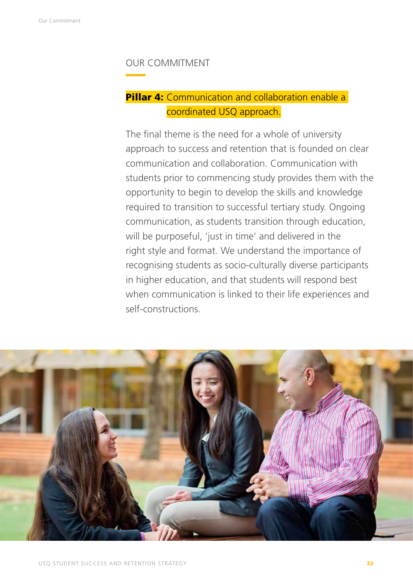#### OUR COMMITMENT

### **Pillar 4:** Communication and collaboration enable a coordinated USQ approach.

The final theme is the need for a whole of university approach to success and retention that is founded on clear communication and collaboration. Communication with students prior to commencing study provides them with the opportunity to begin to develop the skills and knowledge required to transition to successful tertiary study. Ongoing communication, as students transition through education, will be purposeful, 'just in time' and delivered in the right style and format. We understand the importance of recognising students as socio-culturally diverse participants in higher education, and that students will respond best when communication is linked to their life experiences and self-constructions.

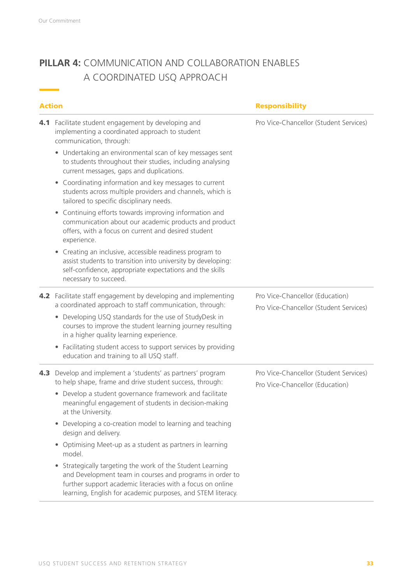### **PILLAR 4:** COMMUNICATION AND COLLABORATION ENABLES A COORDINATED USQ APPROACH

| <b>Action</b> |                                                                                                                                                                                                                                                   | <b>Responsibility</b>                                                     |  |
|---------------|---------------------------------------------------------------------------------------------------------------------------------------------------------------------------------------------------------------------------------------------------|---------------------------------------------------------------------------|--|
|               | 4.1 Facilitate student engagement by developing and<br>implementing a coordinated approach to student<br>communication, through:                                                                                                                  | Pro Vice-Chancellor (Student Services)                                    |  |
|               | • Undertaking an environmental scan of key messages sent<br>to students throughout their studies, including analysing<br>current messages, gaps and duplications.                                                                                 |                                                                           |  |
|               | Coordinating information and key messages to current<br>٠<br>students across multiple providers and channels, which is<br>tailored to specific disciplinary needs.                                                                                |                                                                           |  |
|               | Continuing efforts towards improving information and<br>$\bullet$<br>communication about our academic products and product<br>offers, with a focus on current and desired student<br>experience.                                                  |                                                                           |  |
|               | • Creating an inclusive, accessible readiness program to<br>assist students to transition into university by developing:<br>self-confidence, appropriate expectations and the skills<br>necessary to succeed.                                     |                                                                           |  |
|               | 4.2 Facilitate staff engagement by developing and implementing<br>a coordinated approach to staff communication, through:                                                                                                                         | Pro Vice-Chancellor (Education)<br>Pro Vice-Chancellor (Student Services) |  |
|               | Developing USQ standards for the use of StudyDesk in<br>٠<br>courses to improve the student learning journey resulting<br>in a higher quality learning experience.                                                                                |                                                                           |  |
|               | Facilitating student access to support services by providing<br>$\bullet$<br>education and training to all USQ staff.                                                                                                                             |                                                                           |  |
|               | 4.3 Develop and implement a 'students' as partners' program<br>to help shape, frame and drive student success, through:                                                                                                                           | Pro Vice-Chancellor (Student Services)<br>Pro Vice-Chancellor (Education) |  |
|               | Develop a student governance framework and facilitate<br>$\bullet$<br>meaningful engagement of students in decision-making<br>at the University.                                                                                                  |                                                                           |  |
|               | Developing a co-creation model to learning and teaching<br>design and delivery.                                                                                                                                                                   |                                                                           |  |
|               | Optimising Meet-up as a student as partners in learning<br>model.                                                                                                                                                                                 |                                                                           |  |
|               | Strategically targeting the work of the Student Learning<br>and Development team in courses and programs in order to<br>further support academic literacies with a focus on online<br>learning, English for academic purposes, and STEM literacy. |                                                                           |  |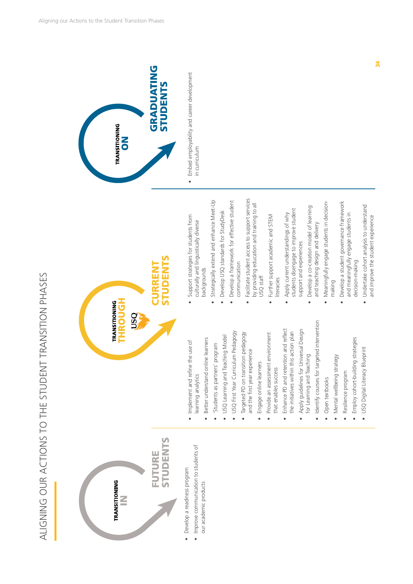ALIGNING OUR ACTIONS TO THE STUDENT TRANSITION PHASE



- · Develop a readiness program • Develop a readiness program
- · Improve communication to students of • Improve communication to students of our academic products our academic products



. Implement and refine the use of • Implement and refine the use of learning analytics learning analytics

• Support strategies for students from culturally and linguistically diverse

culturally and linguistically diverse

Support strategies for students from

backgrounds

backgrounds

• Strategically extend and enhance Meet-Up • Develop USQ standards for StudyDesk • Develop a framework for effective student

Develop USQ standards for StudyDesk

Strategically extend and enhance Meet-Up

- Better understand online learners • Better understand online learners
	- 'Students as partners' program • 'Students as partners' program
- USQ Learning and Teaching Model • USQ Learning and Teaching Model
- USQ First Year Curriculum Pedagogy Targeted PD on transition pedagogy • USQ First Year Curriculum Pedagogy • Targeted PD on transition pedagogy

communication

communication

Develop a framework for effective student

• Facilitate student access to support services by providing education and training to all

by providing education and training to all

Facilitate student access to support services

USQ staff

• Further support academic and STEM

Further support academic and STEM

literacies

• Apply current understandings of why students disengage to improve student

Apply current understandings of why

students disengage to improve student

support and experiences

support and experiences

• Develop a co-creation model of learning and teaching design and delivery • Meaningfully engage students in decision-

and teaching design and delivery

Develop a co-creation model of learning

- and the first year experience and the first year experience Engage online learners
- · Provide an assessment environment • Provide an assessment environment • Engage online learners
- Enhance PD and retention and reflect  $\bullet$  Enhance PD and retention and reflect that enables success that enables success
- Apply quidelines for Universal Design the initiatives within this action plan the initiatives within this action plan
	- Apply guidelines for Universal Design for Learning and Teaching for Learning and Teaching
- Identify courses for targeted intervention • Identify courses for targeted intervention
	- Open textbooks • Open textbooks

making

Meaningfully engage students in decision-

• Develop a student governance framework and meaningfully engage students in

and meaningfully engage students in

Develop a student governance framework

decision-making

decision-making

• Undertake cohort analysis to understand and improve the student experience

 $\overline{a}$ 

and improve the student experience

Undertake cohort analysis to understand

- Mental wellbeing strategy • Mental wellbeing strategy
- Employ cohort-building strategies • Employ cohort-building strategies Resilience program • Resilience program
- USQ Digital Literacy Blueprint • USQ Digital Literacy Blueprint



· Embed employability and career development • Embed employability and career development in curriculum in curriculum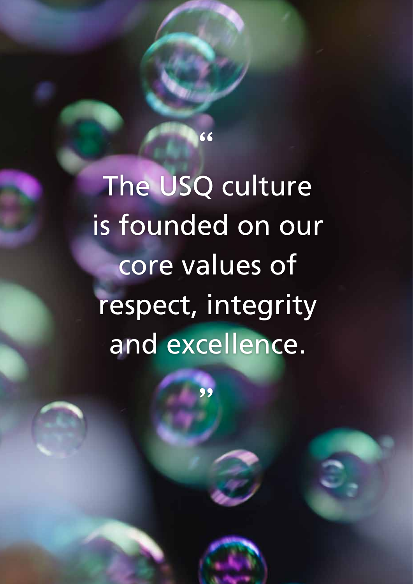The USQ culture is founded on our core values of respect, integrity and excellence.

"

"

US STUDENT SUCCESS AND RETENTION SUCCESS AND RETENTION SUCCESS AND RETENTION SUCCESS AND RETENTION STRATEGY SUCCESS.